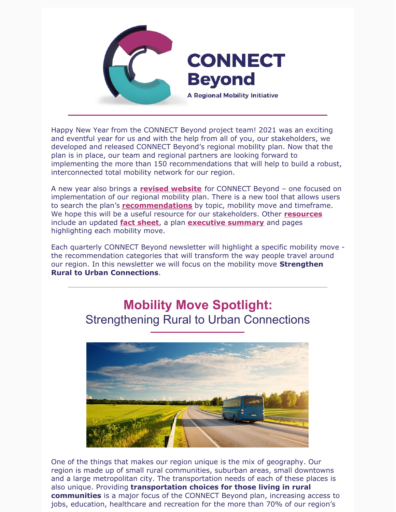

Happy New Year from the CONNECT Beyond project team! 2021 was an exciting and eventful year for us and with the help from all of you, our stakeholders, we developed and released CONNECT Beyond's regional mobility plan. Now that the plan is in place, our team and regional partners are looking forward to implementing the more than 150 recommendations that will help to build a robust, interconnected total mobility network for our region.

A new year also brings a **revised [website](https://www.connect-beyond.com/)** for CONNECT Beyond – one focused on implementation of our regional mobility plan. There is a new tool that allows users to search the plan's **[recommendations](https://www.connect-beyond.com/plan/all-recommendations/)** by topic, mobility move and timeframe. We hope this will be a useful resource for our stakeholders. Other **[resources](https://www.connect-beyond.com/resources/)** include an updated **fact [sheet](https://drive.google.com/file/d/1YefKN72-2cqbSzgvbdrlPq0N7-dHLd3r/view)**, a plan **[executive](https://drive.google.com/file/d/1sVDEfyJ52V3apUIQcpKiXxl05OxB76PK/view) summary** and pages highlighting each mobility move.

Each quarterly CONNECT Beyond newsletter will highlight a specific mobility move the recommendation categories that will transform the way people travel around our region. In this newsletter we will focus on the mobility move **Strengthen Rural to Urban Connections**.

# **Mobility Move Spotlight:** Strengthening Rural to Urban Connections



One of the things that makes our region unique is the mix of geography. Our region is made up of small rural communities, suburban areas, small downtowns and a large metropolitan city. The transportation needs of each of these places is also unique. Providing **transportation choices for those living in rural communities** is a major focus of the CONNECT Beyond plan, increasing access to jobs, education, healthcare and recreation for the more than 70% of our region's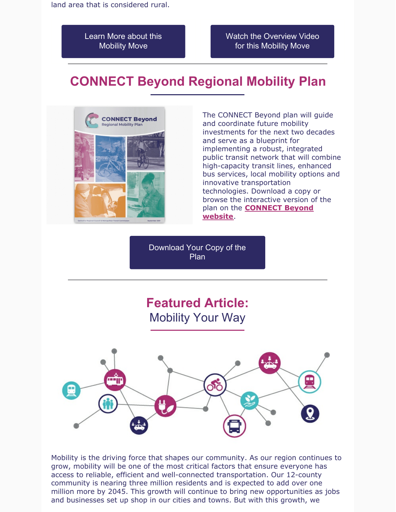Learn More about this [Mobility](https://www.connect-beyond.com/mobility-moves/rural-urban-connections/) Move

Watch the [Overview](https://www.youtube.com/watch?v=yUJ9HJea5fE) Video for this Mobility Move

# **CONNECT Beyond Regional Mobility Plan**



The CONNECT Beyond plan will guide and coordinate future mobility investments for the next two decades and serve as a blueprint for implementing a robust, integrated public transit network that will combine high-capacity transit lines, enhanced bus services, local mobility options and innovative transportation technologies. Download a copy or browse the interactive version of the plan on the **[CONNECT](https://www.connect-beyond.com/plan/) Beyond website**.

[Download](https://www.connect-beyond.com/docs/CONNECT_Beyond_Final_Report_Final.pdf) Your Copy of the Plan

# **Featured Article:** Mobility Your Way



Mobility is the driving force that shapes our community. As our region continues to grow, mobility will be one of the most critical factors that ensure everyone has access to reliable, efficient and well-connected transportation. Our 12-county community is nearing three million residents and is expected to add over one million more by 2045. This growth will continue to bring new opportunities as jobs and businesses set up shop in our cities and towns. But with this growth, we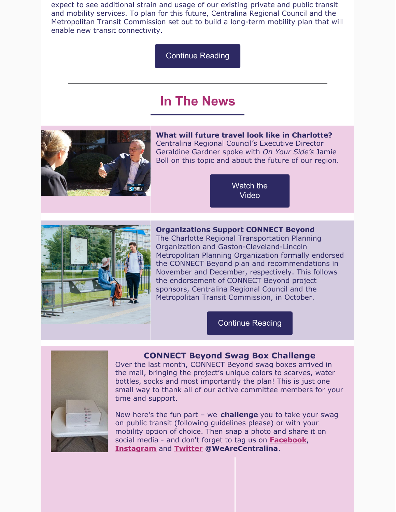expect to see additional strain and usage of our existing private and public transit and mobility services. To plan for this future, Centralina Regional Council and the Metropolitan Transit Commission set out to build a long-term mobility plan that will enable new transit connectivity.

[Continue](https://centralina.org/the-latest/mobility-your-way/) Reading

### **In The News**



**What will future travel look like in Charlotte?** Centralina Regional Council's Executive Director Geraldine Gardner spoke with *On Your Side's* Jamie Boll on this topic and about the future of our region.

> [Watch](https://www.wbtv.com/2021/11/17/what-will-future-travel-look-like-charlotte-centralina-regional-council-has-plan-called-connect-beyond/) the Video



**Organizations Support CONNECT Beyond**

The Charlotte Regional Transportation Planning Organization and Gaston-Cleveland-Lincoln Metropolitan Planning Organization formally endorsed the CONNECT Beyond plan and recommendations in November and December, respectively. This follows the endorsement of CONNECT Beyond project sponsors, Centralina Regional Council and the Metropolitan Transit Commission, in October.

[Continue](https://centralina.org/the-latest/centralina-board-approves-connect-beyond-plan/) Reading



#### **CONNECT Beyond Swag Box Challenge**

Over the last month, CONNECT Beyond swag boxes arrived in the mail, bringing the project's unique colors to scarves, water bottles, socks and most importantly the plan! This is just one small way to thank all of our active committee members for your time and support.

Now here's the fun part – we **challenge** you to take your swag on public transit (following guidelines please) or with your mobility option of choice. Then snap a photo and share it on social media - and don't forget to tag us on **[Facebook](https://www.facebook.com/WeAreCentralina)**, **[Instagram](https://www.facebook.com/WeAreCentralina)** and **[Twitter](https://twitter.com/WeAreCentralina) @WeAreCentralina**.